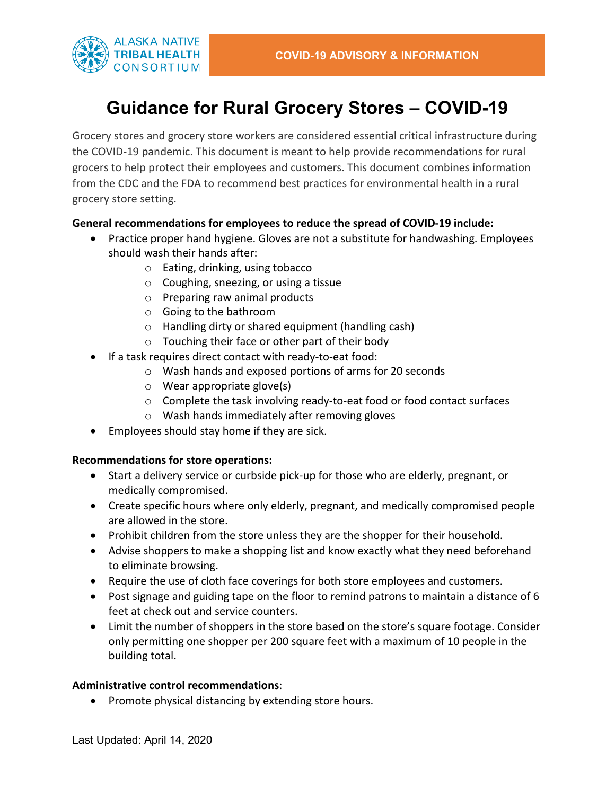

# **Guidance for Rural Grocery Stores – COVID-19**

Grocery stores and grocery store workers are considered essential critical infrastructure during the COVID-19 pandemic. This document is meant to help provide recommendations for rural grocers to help protect their employees and customers. This document combines information from the CDC and the FDA to recommend best practices for environmental health in a rural grocery store setting.

## **General recommendations for employees to reduce the spread of COVID-19 include:**

- Practice proper hand hygiene. Gloves are not a substitute for handwashing. Employees should wash their hands after:
	- o Eating, drinking, using tobacco
	- o Coughing, sneezing, or using a tissue
	- o Preparing raw animal products
	- o Going to the bathroom
	- o Handling dirty or shared equipment (handling cash)
	- o Touching their face or other part of their body
- If a task requires direct contact with ready-to-eat food:
	- o Wash hands and exposed portions of arms for 20 seconds
	- o Wear appropriate glove(s)
	- o Complete the task involving ready-to-eat food or food contact surfaces
	- o Wash hands immediately after removing gloves
- Employees should stay home if they are sick.

### **Recommendations for store operations:**

- Start a delivery service or curbside pick-up for those who are elderly, pregnant, or medically compromised.
- Create specific hours where only elderly, pregnant, and medically compromised people are allowed in the store.
- Prohibit children from the store unless they are the shopper for their household.
- Advise shoppers to make a shopping list and know exactly what they need beforehand to eliminate browsing.
- Require the use of cloth face coverings for both store employees and customers.
- Post signage and guiding tape on the floor to remind patrons to maintain a distance of 6 feet at check out and service counters.
- Limit the number of shoppers in the store based on the store's square footage. Consider only permitting one shopper per 200 square feet with a maximum of 10 people in the building total.

### **Administrative control recommendations**:

• Promote physical distancing by extending store hours.